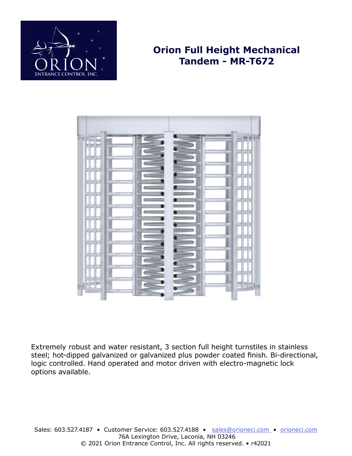

# **Orion Full Height Mechanical Tandem - MR-T672**



Extremely robust and water resistant, 3 section full height turnstiles in stainless steel; hot-dipped galvanized or galvanized plus powder coated finish. Bi-directional, logic controlled. Hand operated and motor driven with electro-magnetic lock options available.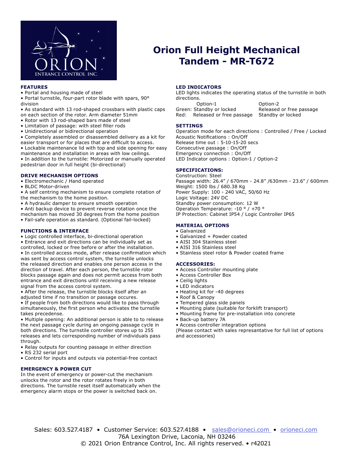

# **Orion Full Height Mechanical Tandem - MR-T672**

### **FEATURES**

• Portal and housing made of steel

• Portal turnstile, four-part rotor blade with spars, 90° division

• As standard with 13 rod-shaped crossbars with plastic caps on each section of the rotor. Arm diameter 51mm

- Rotor with 13 rod-shaped bars made of steel
- Limitation of passage: with steel filler rods
- Unidirectional or bidirectional operation

• Completely assembled or disassembled delivery as a kit for easier transport or for places that are difficult to access.

• Lockable maintenance lid with top and side opening for easy maintenance and installation in areas with low ceilings. • In addition to the turnstile: Motorized or manually operated pedestrian door in full height (bi-directional)

## **DRIVE MECHANISM OPTIONS**

• Electromechanic / Hand operated

• BLDC Motor-driven

• A self centring mechanism to ensure complete rotation of the mechanism to the home position.

• A hydraulic damper to ensure smooth operation

• Anti backup device to prevent reverse rotation once the mechanism has moved 30 degrees from the home position

• Fail-safe operation as standard. (Optional fail-locked)

## **FUNCTIONS & INTERFACE**

• Logic controlled interface, bi-directional operation

• Entrance and exit directions can be individually set as

controlled, locked or free before or after the installation. • In controlled access mode, after release confirmation which was sent by access control system, the turnstile unlocks the released direction and enables one person access in the direction of travel. After each person, the turnstile rotor blocks passage again and does not permit access from both entrance and exit directions until receiving a new release signal from the access control system.

• After the release, the turnstile blocks itself after an adjusted time if no transition or passage occures.

• If people from both directions would like to pass through simultaneously, the first person who activates the turnstile takes precedense.

• Multiple opening: An additional person is able to to release the next passage cycle during an ongoing passage cycle in both directions. The turnstile controller stores up to 255 releases and lets corresponding number of individuals pass through.

• Relay outputs for counting passage in either direction

• RS 232 serial port

• Control for inputs and outputs via potential-free contact

#### **EMERGENCY & POWER CUT**

In the event of emergency or power-cut the mechanism unlocks the rotor and the rotor rotates freely in both directions. The turnstile reset itself automatically when the emergency alarm stops or the power is switched back on.

#### **LED INDICATORS**

LED lights indicates the operating status of the turnstile in both directions.

Option-2 Green: Standby or locked Released or free passage Red: Released or free passage Standby or locked

#### **SETTINGS**

Operation mode for each directions : Controlled / Free / Locked Acoustic Notifications : On/Off Release time out : 5-10-15-20 secs Consecutive passage : On/Off Emergency connection : On/Off LED Indicator options : Option-1 / Option-2

## **SPECIFICATIONS:**

Construction: Steel Passage width: 26.4" / 670mm - 24.8" /630mm - 23.6" / 600mm Weight: 1500 lbs / 680.38 Kg Power Supply: 100 - 240 VAC, 50/60 Hz Logic Voltage: 24V DC Standby power consumption: 12 W Operation Temperature: -10 ° / +70 ° IP Protection: Cabinet IP54 / Logic Controller IP65

# **MATERIAL OPTIONS**

#### • Galvanized

- Galvanized + Powder coated
- AISI 304 Stainless steel
- AISI 316 Stainless steel
- Stainless steel rotor & Powder coated frame

#### **ACCESSORIES:**

- Access Controller mounting plate
- Access Controller Box
- Ceilig lights
- LED indicators
- Heating kit for -40 degrees
- Roof & Canopy
- Tempered glass side panels
- Mounting plate (suitable for forklift transport)
- Mounting frame for pre-installation into concrete
- Back-up battery 7A
- Access controller integration options

(Please contact with sales represantative for full list of options and accessories)